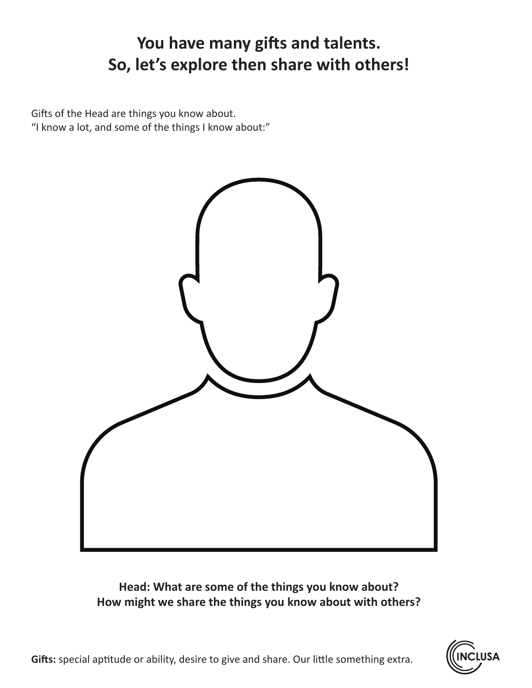# **You have many gifts and talents. So, let's explore then share with others!**

Gifts of the Head are things you know about. "I know a lot, and some of the things I know about:"



### **Head: What are some of the things you know about? How might we share the things you know about with others?**

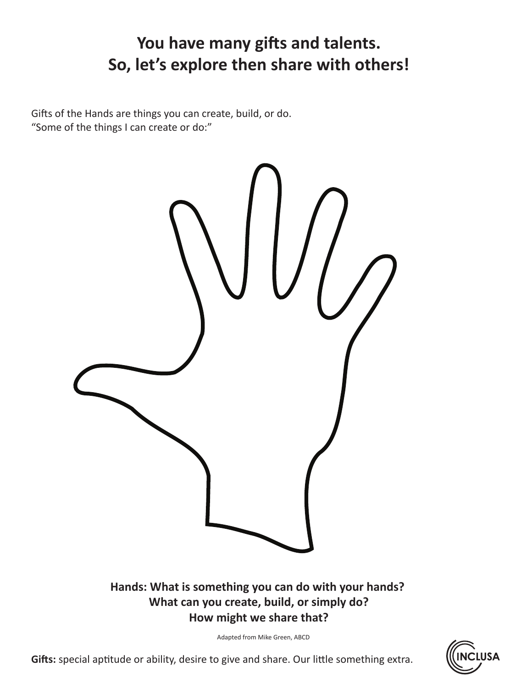# **You have many gifts and talents. So, let's explore then share with others!**

Gifts of the Hands are things you can create, build, or do. "Some of the things I can create or do:"



### **Hands: What is something you can do with your hands? What can you create, build, or simply do? How might we share that?**

Adapted from Mike Green, ABCD

**Gifts:** special aptitude or ability, desire to give and share. Our little something extra.